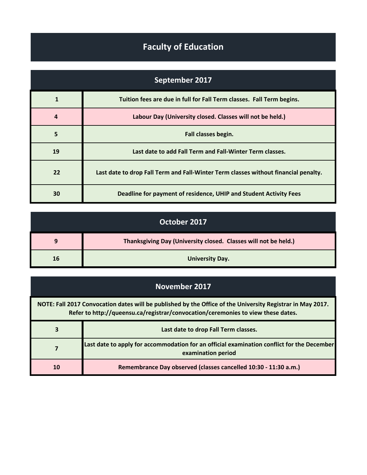## **Faculty of Education**

| September 2017 |                                                                                     |
|----------------|-------------------------------------------------------------------------------------|
| $\mathbf{1}$   | Tuition fees are due in full for Fall Term classes. Fall Term begins.               |
| 4              | Labour Day (University closed. Classes will not be held.)                           |
| 5              | Fall classes begin.                                                                 |
| 19             | Last date to add Fall Term and Fall-Winter Term classes.                            |
| 22             | Last date to drop Fall Term and Fall-Winter Term classes without financial penalty. |
| 30             | Deadline for payment of residence, UHIP and Student Activity Fees                   |

| October 2017 |                                                                 |
|--------------|-----------------------------------------------------------------|
| 9            | Thanksgiving Day (University closed. Classes will not be held.) |
| 16           | <b>University Day.</b>                                          |

## **November 2017**

| NOTE: Fall 2017 Convocation dates will be published by the Office of the University Registrar in May 2017.<br>Refer to http://queensu.ca/registrar/convocation/ceremonies to view these dates. |                                                                                                                  |
|------------------------------------------------------------------------------------------------------------------------------------------------------------------------------------------------|------------------------------------------------------------------------------------------------------------------|
| 3                                                                                                                                                                                              | Last date to drop Fall Term classes.                                                                             |
| 7                                                                                                                                                                                              | Last date to apply for accommodation for an official examination conflict for the December<br>examination period |
| 10                                                                                                                                                                                             | Remembrance Day observed (classes cancelled 10:30 - 11:30 a.m.)                                                  |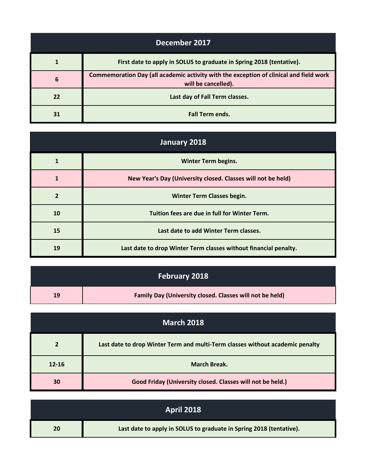| December 2017 |                                                                                                               |
|---------------|---------------------------------------------------------------------------------------------------------------|
| 1             | First date to apply in SOLUS to graduate in Spring 2018 (tentative).                                          |
| 6             | Commemoration Day (all academic activity with the exception of clinical and field work<br>will be cancelled). |
| 22            | Last day of Fall Term classes.                                                                                |
| 31            | <b>Fall Term ends.</b>                                                                                        |

| January 2018   |                                                                  |
|----------------|------------------------------------------------------------------|
| 1              | <b>Winter Term begins.</b>                                       |
| 1              | New Year's Day (University closed. Classes will not be held)     |
| $\overline{2}$ | <b>Winter Term Classes begin.</b>                                |
| 10             | Tuition fees are due in full for Winter Term.                    |
| 15             | Last date to add Winter Term classes.                            |
| 19             | Last date to drop Winter Term classes without financial penalty. |

| February 2018 |                                                          |
|---------------|----------------------------------------------------------|
| 19            | Family Day (University closed. Classes will not be held) |

| <b>March 2018</b> |                                                                               |
|-------------------|-------------------------------------------------------------------------------|
| $\overline{2}$    | Last date to drop Winter Term and multi-Term classes without academic penalty |
| $12 - 16$         | <b>March Break.</b>                                                           |
| 30                | Good Friday (University closed. Classes will not be held.)                    |

|    | <b>April 2018</b>                                                   |
|----|---------------------------------------------------------------------|
| 20 | Last date to apply in SOLUS to graduate in Spring 2018 (tentative). |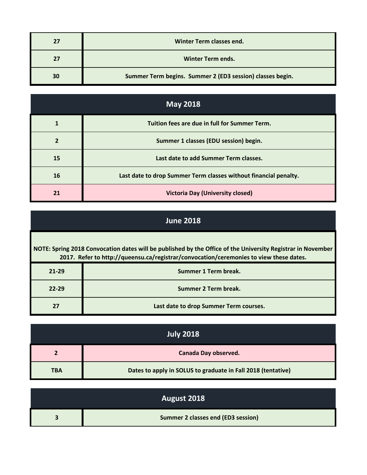| 27 | Winter Term classes end.                                  |
|----|-----------------------------------------------------------|
| 27 | <b>Winter Term ends.</b>                                  |
| 30 | Summer Term begins. Summer 2 (ED3 session) classes begin. |

| <b>May 2018</b> |                                                                  |
|-----------------|------------------------------------------------------------------|
|                 | Tuition fees are due in full for Summer Term.                    |
| $\overline{2}$  | Summer 1 classes (EDU session) begin.                            |
| 15              | Last date to add Summer Term classes.                            |
| 16              | Last date to drop Summer Term classes without financial penalty. |
| 21              | <b>Victoria Day (University closed)</b>                          |

## **June 2018**

| NOTE: Spring 2018 Convocation dates will be published by the Office of the University Registrar in November<br>2017. Refer to http://queensu.ca/registrar/convocation/ceremonies to view these dates. |                                        |
|-------------------------------------------------------------------------------------------------------------------------------------------------------------------------------------------------------|----------------------------------------|
| $21 - 29$                                                                                                                                                                                             | Summer 1 Term break.                   |
| $22 - 29$                                                                                                                                                                                             | Summer 2 Term break.                   |
| 27                                                                                                                                                                                                    | Last date to drop Summer Term courses. |

| <b>July 2018</b> |                                                              |
|------------------|--------------------------------------------------------------|
| 2                | <b>Canada Day observed.</b>                                  |
| <b>TBA</b>       | Dates to apply in SOLUS to graduate in Fall 2018 (tentative) |

| August 2018                        |
|------------------------------------|
| Summer 2 classes end (ED3 session) |